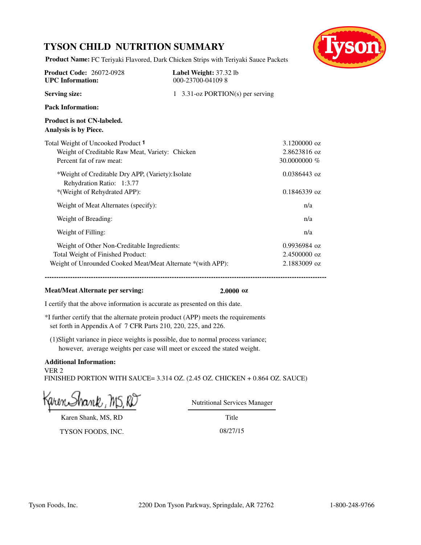## **TYSON CHILD NUTRITION SUMMARY**



**Product Name:** FC Teriyaki Flavored, Dark Chicken Strips with Teriyaki Sauce Packets

| <b>Product Code: 26072-0928</b><br><b>UPC</b> Information:                                                                                      | Label Weight: 37.32 lb<br>000-23700-041098 |                                              |
|-------------------------------------------------------------------------------------------------------------------------------------------------|--------------------------------------------|----------------------------------------------|
| <b>Serving size:</b>                                                                                                                            | 1 3.31-oz PORTION(s) per serving           |                                              |
| <b>Pack Information:</b>                                                                                                                        |                                            |                                              |
| Product is not CN-labeled.<br>Analysis is by Piece.                                                                                             |                                            |                                              |
| Total Weight of Uncooked Product 1<br>Weight of Creditable Raw Meat, Variety: Chicken<br>Percent fat of raw meat:                               |                                            | 3.1200000 oz<br>2.8623816 oz<br>30,0000000 % |
| *Weight of Creditable Dry APP, (Variety): Isolate<br>Rehydration Ratio: 1:3.77<br>*(Weight of Rehydrated APP):                                  |                                            | $0.0386443$ oz<br>$0.1846339$ oz             |
| Weight of Meat Alternates (specify):                                                                                                            |                                            | n/a                                          |
| Weight of Breading:                                                                                                                             |                                            | n/a                                          |
| Weight of Filling:                                                                                                                              |                                            | n/a                                          |
| Weight of Other Non-Creditable Ingredients:<br>Total Weight of Finished Product:<br>Weight of Unrounded Cooked Meat/Meat Alternate *(with APP): |                                            | 0.9936984 oz<br>2.4500000 oz<br>2.1883009 oz |

#### **Meat/Meat Alternate per serving: 2.0000 oz**

I certify that the above information is accurate as presented on this date.

\*I further certify that the alternate protein product (APP) meets the requirements set forth in Appendix A of 7 CFR Parts 210, 220, 225, and 226.

(1)Slight variance in piece weights is possible, due to normal process variance; however, average weights per case will meet or exceed the stated weight.

### **Additional Information:**

VER 2 FINISHED PORTION WITH SAUCE= 3.314 OZ. (2.45 OZ. CHICKEN + 0.864 OZ. SAUCE)

hank , MS, RD

Nutritional Services Manager

Karen Shank, MS, RD

Title

TYSON FOODS, INC. 08/27/15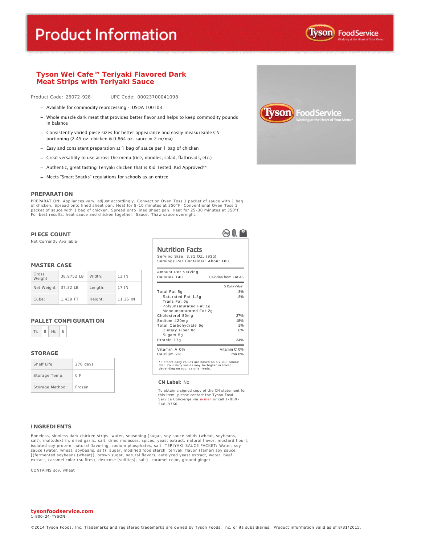# **Product Information**



#### **Tyson Wei Cafe™ Teriyaki Flavored Dark Meat Strips with Teriyaki Sauce**

Product Code: 26072-928 UPC Code: 00023700041098

- Available for commodity reprocessing USDA 100103
- Whole muscle dark meat that provides better flavor and helps to keep commodity pounds in balance
- Consistently varied piece sizes for better appearance and easily measureable CN portioning (2.45 oz. chicken & 0.864 oz. sauce = 2 m/ma)
- Easy and consistent preparation at 1 bag of sauce per 1 bag of chicken
- Great versatility to use across the menu (rice, noodles, salad, flatbreads, etc.)
- $-$  Authentic, great tasting Teriyaki chicken that is Kid Tested, Kid Approved<sup>TM</sup>
- Meets "Smart Snacks" regulations for schools as an entree

#### **PREPARATION**

PREPARATION: Appliances vary, adjust accordingly. Convection Oven Toss 1 packet of sauce with 1 bag of chicken. Spread onto lined sheet pan. Heat for 8-10 minutes at 350°F. Conventional Oven Toss 1 packet of sauce with 1 bag of chicken. Spread onto lined sheet pan. Heat for 25-30 minutes at 350°F. For best results, heat sauce and chicken together. Sauce: Thaw sauce overnight.

#### **PIECE COUNT**

Not Currently Available

#### **MASTER CASE**

| Gross<br>Weight | 38.9752 IB | Width:  | 13 IN    |
|-----------------|------------|---------|----------|
| Net Weight      | 37.32 LB   | Length: | 17 IN    |
| Cube:           | 1.439 FT   | Height: | 11.25 IN |

#### **PALLET CONFIGURATION**



#### **STORAGE**

| Shelf Life:     | 270 days |
|-----------------|----------|
| Storage Temp:   | 0 F      |
| Storage Method: | Frozen   |

| <b>Nutrition Facts</b> |                              |
|------------------------|------------------------------|
|                        | Serving Size: 3.31 OZ. (93g) |

 $\otimes 0$ 

|  | Servings Per Container: About 180 |  |  |
|--|-----------------------------------|--|--|
|  |                                   |  |  |

| Amount Per Serving<br>Calories 140                                                                                                        | Calories from Fat 45 |
|-------------------------------------------------------------------------------------------------------------------------------------------|----------------------|
|                                                                                                                                           | % Daily Value*       |
| Total Fat 5g                                                                                                                              | 8%                   |
| Saturated Fat 1.5g<br>Trans Fat 0g<br>Polyunsaturated Fat 1g                                                                              | 8%                   |
| Monounsaturated Fat 2g<br>Cholesterol 80mg                                                                                                | 27%                  |
| Sodium 420mg                                                                                                                              | 18%                  |
| Total Carbohydrate 6g                                                                                                                     | 2%                   |
| Dietary Fiber 0g<br>Sugars 5g                                                                                                             | 0%                   |
| Protein 17g                                                                                                                               | 34%                  |
| Vitamin A 0%                                                                                                                              | Vitamin C 0%         |
| Calcium 2%                                                                                                                                | Iron $6%$            |
| * Percent daily values are based on a 2,000 calorie<br>diet. Your daily values may be higher or lower<br>depending on your calorie needs. |                      |

#### **CN Label:** No

To obtain a signed copy of the CN statement for this item, please contact the Tyson Food<br>Service Concierge via e-<mark>mail</mark> or call 1-800-248 -9766.

#### **INGREDIENTS**

Boneless, skinless dark chicken strips, water, seasoning [sugar, soy sauce solids (wheat, soybeans, salt), maltodextrin, dried garlic, salt, dried molasses, spices, yeast extract, natural flavor, mustard flour],<br>isolated soy protein, natural flavoring, sodium phosphates, salt. TERIYAKI SAUCE PACKET: Water, soy<br>sauce (wat [(fermented soybean) (wheat)], brown sugar, natural flavors, autolyzed yeast extract, water, beef<br>extract, caramel color (sulfites), dextrose (sulfites), salt}, caramel color, ground ginger.

CONTAINS soy, wheat

#### **tysonfoodservice.com** 1-800 -24-TYSON

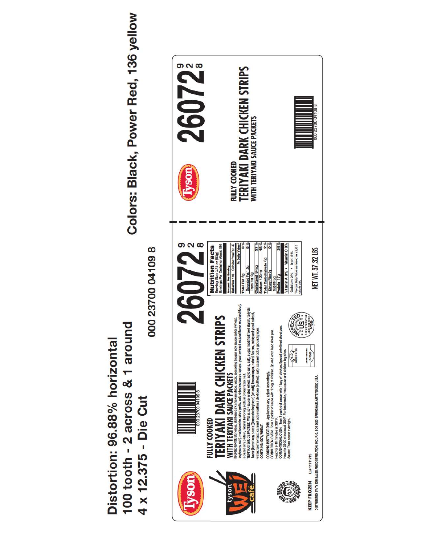100 tooth - 2 across & 1 around Distortion: 96.88% horizontal 4 x 12.375 - Die Cut

Colors: Black, Power Red, 136 yellow

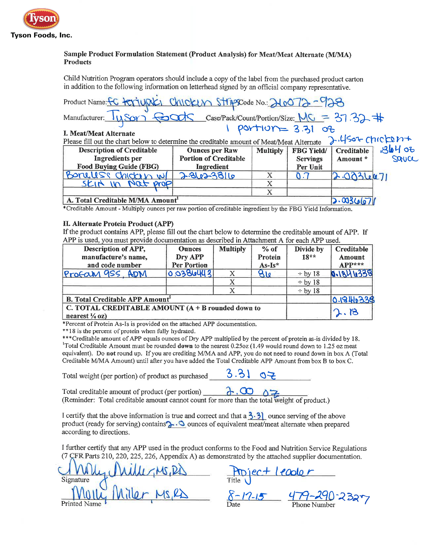

## Sample Product Formulation Statement (Product Analysis) for Meat/Meat Alternate (M/MA) **Products**

Child Nutrition Program operators should include a copy of the label from the purchased product carton in addition to the following information on letterhead signed by an official company representative.

| Product Name: FC terriyaki Chicken Stripscode No: 210072-928                                                        |                                            |                 |                             |                    |       |
|---------------------------------------------------------------------------------------------------------------------|--------------------------------------------|-----------------|-----------------------------|--------------------|-------|
| Manufacturer: 11Sor <del>Courts</del> Case/Pack/Count/Portion/Size: MC = 37.32 #                                    |                                            |                 |                             |                    |       |
| I. Meat/Meat Alternate<br>Please fill out the chart below to determine the creditable amount of Meat/Meat Alternate |                                            |                 | portion = 3.31 of           | $2.45$ oz chroben+ |       |
| <b>Description of Creditable</b>                                                                                    | <b>Ounces per Raw</b>                      | <b>Multiply</b> | <b>FBG Yield/</b>           | Creditable         | 3640  |
| Ingredients per<br><b>Food Buying Guide (FBG)</b>                                                                   | <b>Portion of Creditable</b><br>Ingredient |                 | <b>Servings</b><br>Per Unit | Amount *           | SQUCC |
| Bonellss chicken w                                                                                                  | 2-862-3816                                 | X               |                             | 2.0036671          |       |
| SKIN In Nat prop                                                                                                    |                                            | X<br>X          |                             |                    |       |
| A. Total Creditable M/MA Amount                                                                                     |                                            |                 |                             | 2.003667           |       |

\*Creditable Amount - Multiply ounces per raw portion of creditable ingredient by the FBG Yield Information.

### II. Alternate Protein Product (APP)

If the product contains APP, please fill out the chart below to determine the creditable amount of APP. If APP is used, you must provide documentation as described in Attachment A for each APP used.

| Description of APP,<br>manufacture's name,<br>and code number                    | <b>Ounces</b><br>Dry APP<br><b>Per Portion</b> | <b>Multiply</b> | $%$ of<br>Protein<br>$As-Is*$ | Divide by<br>$18**$ | Creditable<br>Amount<br>$APP***$ |
|----------------------------------------------------------------------------------|------------------------------------------------|-----------------|-------------------------------|---------------------|----------------------------------|
| Profam 9SS, ADM                                                                  | 0.0386443                                      |                 | 810                           | $\div$ by 18        | 0.1844338                        |
|                                                                                  |                                                |                 |                               | $\div$ by 18        |                                  |
|                                                                                  |                                                |                 |                               | $\div$ by 18        |                                  |
| <b>B.</b> Total Creditable APP Amount                                            |                                                |                 |                               |                     | 0.1946338                        |
| C. TOTAL CREDITABLE AMOUNT $(A + B$ rounded down to<br>nearest $\frac{1}{4}$ oz) |                                                |                 |                               |                     | ାୱ                               |

\*Percent of Protein As-Is is provided on the attached APP documentation.

\*\*18 is the percent of protein when fully hydrated.

\*\*\*Creditable amount of APP equals ounces of Dry APP multiplied by the percent of protein as-is divided by 18. <sup>1</sup>Total Creditable Amount must be rounded **down** to the nearest 0.25oz (1.49 would round down to 1.25 oz meat equivalent). Do not round up. If you are crediting M/MA and APP, you do not need to round down in box A (Total Creditable M/MA Amount) until after you have added the Total Creditable APP Amount from box B to box C.

 $3.31$ Total weight (per portion) of product as purchased

Total creditable amount of product (per portion)  $\partial$ .00 (Reminder: Total creditable amount cannot count for more than the total weight of product.)

I certify that the above information is true and correct and that  $a \frac{3 \cdot 3}{3}$  ounce serving of the above product (ready for serving) contains  $\lambda \cdot \mathcal{O}$  ounces of equivalent meat/meat alternate when prepared according to directions.

I further certify that any APP used in the product conforms to the Food and Nutrition Service Regulations (7 ÇFR Parts 210, 220, 225, 226, Appendix A) as demonstrated by the attached supplier documentation.

 $M_{\text{H}}M_{\text{H}}P_{\text{H}}$ <br>  $M_{\text{H}}M_{\text{H}}P_{\text{H}}$ <br>  $M_{\text{H}}M_{\text{H}}P_{\text{H}}$ <br>  $M_{\text{D}}P_{\text{H}}P_{\text{H}}$ <br>  $M_{\text{D}}P_{\text{H}}P_{\text{H}}P_{\text{H}}P_{\text{H}}P_{\text{H}}P_{\text{H}}P_{\text{H}}P_{\text{H}}P_{\text{H}}P_{\text{H}}P_{\text{H}}P_{\text{H}}P_{\text{H}}P_{\text{H}}P_{\text{H}}P_{\text{H}}P$ Signature **Printed Name**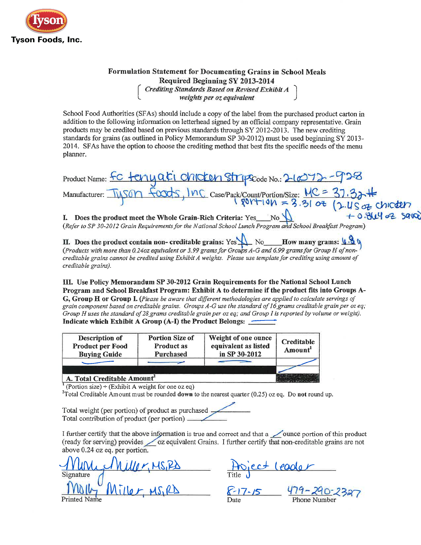

## Formulation Statement for Documenting Grains in School Meals Required Beginning SY 2013-2014<br>Crediting Standards Based on Revised Exhibit A<br>weights per oz equivalent

School Food Authorities (SFAs) should include a copy of the label from the purchased product carton in addition to the following information on letterhead signed by an official company representative. Grain products may be credited based on previous standards through SY 2012-2013. The new crediting standards for grains (as outlined in Policy Memorandum SP 30-2012) must be used beginning SY 2013-2014. SFAs have the option to choose the crediting method that best fits the specific needs of the menu planner.

| Product Name: FC terry ati chicken Stripscode No.: 21072-928                                                |                  |
|-------------------------------------------------------------------------------------------------------------|------------------|
| Manufacturer: Tyson foods, Inc case/Pack/Count/Portion/Size: $MC = 37.32 +$                                 |                  |
|                                                                                                             |                  |
| Does the product meet the Whole Grain-Rich Criteria: Yes No<br>L.                                           | $+0.844$ oz save |
| (Refer to SP 30-2012 Grain Requirements for the National School Lunch Program and School Breakfast Program) |                  |

II. Does the product contain non- creditable grains: Yes  $\bigwedge$  No How many grams:  $\bigotimes$  N (Products with more than 0.24oz equivalent or 3.99 grams for Groups A-G and 6.99 grams for Group H of noncreditable grains cannot be credited using Exhibit A weights. Please use template for crediting using amount of creditable grains).

III. Use Policy Memorandum SP 30-2012 Grain Requirements for the National School Lunch Program and School Breakfast Program: Exhibit A to determine if the product fits into Groups A-G, Group H or Group I. (Please be aware that different methodologies are applied to calculate servings of grain component based on creditable grains. Groups A-G use the standard of 16 grams creditable grain per oz eq; Group H uses the standard of 28 grams creditable grain per oz eq; and Group I is reported by volume or weight). Indicate which Exhibit A Group (A-I) the Product Belongs:

| Description of<br><b>Product per Food</b><br><b>Buying Guide</b> | <b>Portion Size of</b><br>Product as<br>Purchased |  | Creditable<br>Amount <sup>1</sup> |
|------------------------------------------------------------------|---------------------------------------------------|--|-----------------------------------|
|                                                                  |                                                   |  |                                   |
| A. Total Creditable Amount <sup>2</sup>                          |                                                   |  |                                   |

<sup>1</sup> (Portion size) ÷ (Exhibit A weight for one oz eq)

<sup>2</sup>Total Creditable Amount must be rounded **down** to the nearest quarter  $(0.25)$  oz eq. Do not round up.

Total weight (per portion) of product as purchased. Total contribution of product (per portion) \_\_\_\_\_

I further certify that the above information is true and correct and that a ounce portion of this product (ready for serving) provides <u>oz</u> equivalent Grains. I further certify that non-creditable grains are not above 0.24 oz eq. per portion.

1 Miller, MS, PD Fitte) est leader